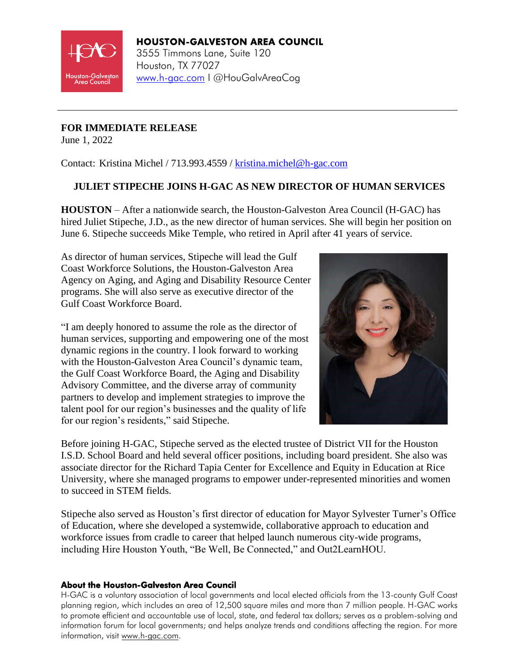

# HOUSTON-GALVESTON AREA COUNCIL 3555 Timmons Lane, Suite 120 Houston, TX 77027 [www.h-gac.com](http://www.h-gac.com/) I @HouGalvAreaCog

### **FOR IMMEDIATE RELEASE**

June 1, 2022

Contact: Kristina Michel / 713.993.4559 / [kristina.michel@h-gac.com](mailto:kristina.michel@h-gac.com)

### **JULIET STIPECHE JOINS H-GAC AS NEW DIRECTOR OF HUMAN SERVICES**

**HOUSTON** – After a nationwide search, the Houston-Galveston Area Council (H-GAC) has hired Juliet Stipeche, J.D., as the new director of human services. She will begin her position on June 6. Stipeche succeeds Mike Temple, who retired in April after 41 years of service.

As director of human services, Stipeche will lead the Gulf Coast Workforce Solutions, the Houston-Galveston Area Agency on Aging, and Aging and Disability Resource Center programs. She will also serve as executive director of the Gulf Coast Workforce Board.

"I am deeply honored to assume the role as the director of human services, supporting and empowering one of the most dynamic regions in the country. I look forward to working with the Houston-Galveston Area Council's dynamic team, the Gulf Coast Workforce Board, the Aging and Disability Advisory Committee, and the diverse array of community partners to develop and implement strategies to improve the talent pool for our region's businesses and the quality of life for our region's residents," said Stipeche.



Before joining H-GAC, Stipeche served as the elected trustee of District VII for the Houston I.S.D. School Board and held several officer positions, including board president. She also was associate director for the Richard Tapia Center for Excellence and Equity in Education at Rice University, where she managed programs to empower under-represented minorities and women to succeed in STEM fields.

Stipeche also served as Houston's first director of education for Mayor Sylvester Turner's Office of Education, where she developed a systemwide, collaborative approach to education and workforce issues from cradle to career that helped launch numerous city-wide programs, including Hire Houston Youth, "Be Well, Be Connected," and Out2LearnHOU.

#### About the Houston-Galveston Area Council

H-GAC is a voluntary association of local governments and local elected officials from the 13-county Gulf Coast planning region, which includes an area of 12,500 square miles and more than 7 million people. H-GAC works to promote efficient and accountable use of local, state, and federal tax dollars; serves as a problem-solving and information forum for local governments; and helps analyze trends and conditions affecting the region. For more information, visit [www.h-gac.com.](https://www.h-gac.com/Home)